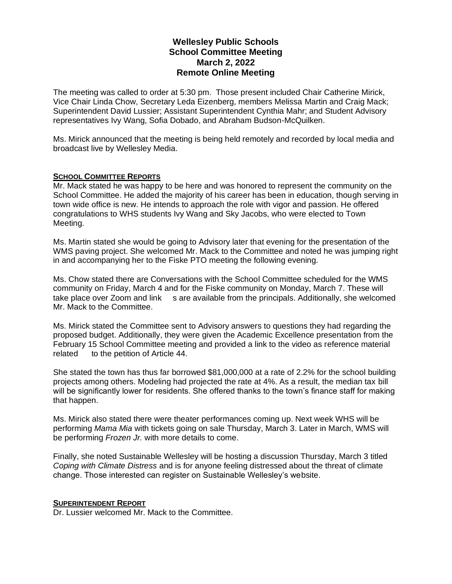# **Wellesley Public Schools School Committee Meeting March 2, 2022 Remote Online Meeting**

The meeting was called to order at 5:30 pm. Those present included Chair Catherine Mirick, Vice Chair Linda Chow, Secretary Leda Eizenberg, members Melissa Martin and Craig Mack; Superintendent David Lussier; Assistant Superintendent Cynthia Mahr; and Student Advisory representatives Ivy Wang, Sofia Dobado, and Abraham Budson-McQuilken.

Ms. Mirick announced that the meeting is being held remotely and recorded by local media and broadcast live by Wellesley Media.

### **SCHOOL COMMITTEE REPORTS**

Mr. Mack stated he was happy to be here and was honored to represent the community on the School Committee. He added the majority of his career has been in education, though serving in town wide office is new. He intends to approach the role with vigor and passion. He offered congratulations to WHS students Ivy Wang and Sky Jacobs, who were elected to Town Meeting.

Ms. Martin stated she would be going to Advisory later that evening for the presentation of the WMS paving project. She welcomed Mr. Mack to the Committee and noted he was jumping right in and accompanying her to the Fiske PTO meeting the following evening.

Ms. Chow stated there are Conversations with the School Committee scheduled for the WMS community on Friday, March 4 and for the Fiske community on Monday, March 7. These will take place over Zoom and link s are available from the principals. Additionally, she welcomed Mr. Mack to the Committee.

Ms. Mirick stated the Committee sent to Advisory answers to questions they had regarding the proposed budget. Additionally, they were given the Academic Excellence presentation from the February 15 School Committee meeting and provided a link to the video as reference material related to the petition of Article 44.

She stated the town has thus far borrowed \$81,000,000 at a rate of 2.2% for the school building projects among others. Modeling had projected the rate at 4%. As a result, the median tax bill will be significantly lower for residents. She offered thanks to the town's finance staff for making that happen.

Ms. Mirick also stated there were theater performances coming up. Next week WHS will be performing *Mama Mia* with tickets going on sale Thursday, March 3. Later in March, WMS will be performing *Frozen Jr.* with more details to come.

Finally, she noted Sustainable Wellesley will be hosting a discussion Thursday, March 3 titled *Coping with Climate Distress* and is for anyone feeling distressed about the threat of climate change. Those interested can register on Sustainable Wellesley's website.

#### **SUPERINTENDENT REPORT**

Dr. Lussier welcomed Mr. Mack to the Committee.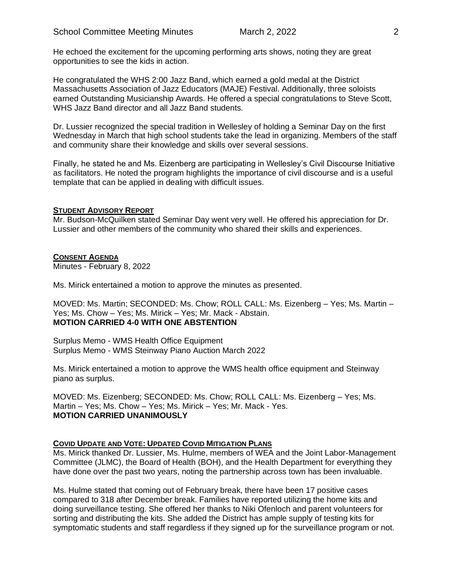He echoed the excitement for the upcoming performing arts shows, noting they are great opportunities to see the kids in action.

He congratulated the WHS 2:00 Jazz Band, which earned a gold medal at the District Massachusetts Association of Jazz Educators (MAJE) Festival. Additionally, three soloists earned Outstanding Musicianship Awards. He offered a special congratulations to Steve Scott, WHS Jazz Band director and all Jazz Band students.

Dr. Lussier recognized the special tradition in Wellesley of holding a Seminar Day on the first Wednesday in March that high school students take the lead in organizing. Members of the staff and community share their knowledge and skills over several sessions.

Finally, he stated he and Ms. Eizenberg are participating in Wellesley's Civil Discourse Initiative as facilitators. He noted the program highlights the importance of civil discourse and is a useful template that can be applied in dealing with difficult issues.

### **STUDENT ADVISORY REPORT**

Mr. Budson-McQuilken stated Seminar Day went very well. He offered his appreciation for Dr. Lussier and other members of the community who shared their skills and experiences.

#### **CONSENT AGENDA**

Minutes - February 8, 2022

Ms. Mirick entertained a motion to approve the minutes as presented.

MOVED: Ms. Martin; SECONDED: Ms. Chow; ROLL CALL: Ms. Eizenberg – Yes; Ms. Martin – Yes; Ms. Chow – Yes; Ms. Mirick – Yes; Mr. Mack - Abstain. **MOTION CARRIED 4-0 WITH ONE ABSTENTION**

Surplus Memo - WMS Health Office Equipment Surplus Memo - WMS Steinway Piano Auction March 2022

Ms. Mirick entertained a motion to approve the WMS health office equipment and Steinway piano as surplus.

MOVED: Ms. Eizenberg; SECONDED: Ms. Chow; ROLL CALL: Ms. Eizenberg – Yes; Ms. Martin – Yes; Ms. Chow – Yes; Ms. Mirick – Yes; Mr. Mack - Yes. **MOTION CARRIED UNANIMOUSLY**

#### **COVID UPDATE AND VOTE: UPDATED COVID MITIGATION PLANS**

Ms. Mirick thanked Dr. Lussier, Ms. Hulme, members of WEA and the Joint Labor-Management Committee (JLMC), the Board of Health (BOH), and the Health Department for everything they have done over the past two years, noting the partnership across town has been invaluable.

Ms. Hulme stated that coming out of February break, there have been 17 positive cases compared to 318 after December break. Families have reported utilizing the home kits and doing surveillance testing. She offered her thanks to Niki Ofenloch and parent volunteers for sorting and distributing the kits. She added the District has ample supply of testing kits for symptomatic students and staff regardless if they signed up for the surveillance program or not.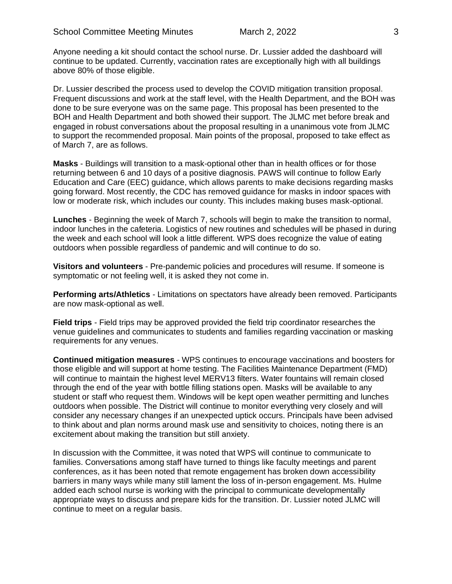Anyone needing a kit should contact the school nurse. Dr. Lussier added the dashboard will continue to be updated. Currently, vaccination rates are exceptionally high with all buildings above 80% of those eligible.

Dr. Lussier described the process used to develop the COVID mitigation transition proposal. Frequent discussions and work at the staff level, with the Health Department, and the BOH was done to be sure everyone was on the same page. This proposal has been presented to the BOH and Health Department and both showed their support. The JLMC met before break and engaged in robust conversations about the proposal resulting in a unanimous vote from JLMC to support the recommended proposal. Main points of the proposal, proposed to take effect as of March 7, are as follows.

**Masks** - Buildings will transition to a mask-optional other than in health offices or for those returning between 6 and 10 days of a positive diagnosis. PAWS will continue to follow Early Education and Care (EEC) guidance, which allows parents to make decisions regarding masks going forward. Most recently, the CDC has removed guidance for masks in indoor spaces with low or moderate risk, which includes our county. This includes making buses mask-optional.

**Lunches** - Beginning the week of March 7, schools will begin to make the transition to normal, indoor lunches in the cafeteria. Logistics of new routines and schedules will be phased in during the week and each school will look a little different. WPS does recognize the value of eating outdoors when possible regardless of pandemic and will continue to do so.

**Visitors and volunteers** - Pre-pandemic policies and procedures will resume. If someone is symptomatic or not feeling well, it is asked they not come in.

**Performing arts/Athletics** - Limitations on spectators have already been removed. Participants are now mask-optional as well.

**Field trips** - Field trips may be approved provided the field trip coordinator researches the venue guidelines and communicates to students and families regarding vaccination or masking requirements for any venues.

**Continued mitigation measures** - WPS continues to encourage vaccinations and boosters for those eligible and will support at home testing. The Facilities Maintenance Department (FMD) will continue to maintain the highest level MERV13 filters. Water fountains will remain closed through the end of the year with bottle filling stations open. Masks will be available to any student or staff who request them. Windows will be kept open weather permitting and lunches outdoors when possible. The District will continue to monitor everything very closely and will consider any necessary changes if an unexpected uptick occurs. Principals have been advised to think about and plan norms around mask use and sensitivity to choices, noting there is an excitement about making the transition but still anxiety.

In discussion with the Committee, it was noted that WPS will continue to communicate to families. Conversations among staff have turned to things like faculty meetings and parent conferences, as it has been noted that remote engagement has broken down accessibility barriers in many ways while many still lament the loss of in-person engagement. Ms. Hulme added each school nurse is working with the principal to communicate developmentally appropriate ways to discuss and prepare kids for the transition. Dr. Lussier noted JLMC will continue to meet on a regular basis.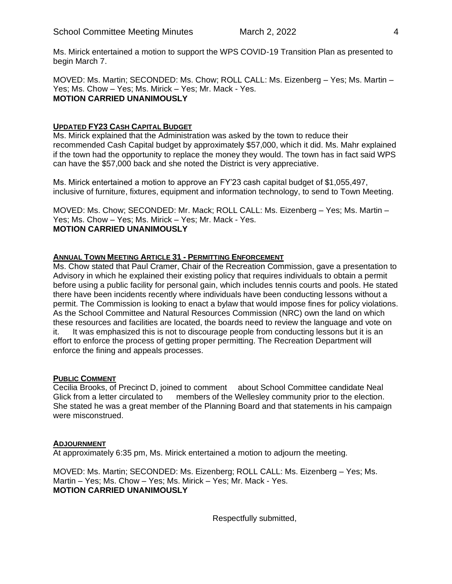Ms. Mirick entertained a motion to support the WPS COVID-19 Transition Plan as presented to begin March 7.

MOVED: Ms. Martin; SECONDED: Ms. Chow; ROLL CALL: Ms. Eizenberg – Yes; Ms. Martin – Yes; Ms. Chow – Yes; Ms. Mirick – Yes; Mr. Mack - Yes. **MOTION CARRIED UNANIMOUSLY**

## **UPDATED FY23 CASH CAPITAL BUDGET**

Ms. Mirick explained that the Administration was asked by the town to reduce their recommended Cash Capital budget by approximately \$57,000, which it did. Ms. Mahr explained if the town had the opportunity to replace the money they would. The town has in fact said WPS can have the \$57,000 back and she noted the District is very appreciative.

Ms. Mirick entertained a motion to approve an FY'23 cash capital budget of \$1,055,497, inclusive of furniture, fixtures, equipment and information technology, to send to Town Meeting.

MOVED: Ms. Chow; SECONDED: Mr. Mack; ROLL CALL: Ms. Eizenberg – Yes; Ms. Martin – Yes; Ms. Chow – Yes; Ms. Mirick – Yes; Mr. Mack - Yes. **MOTION CARRIED UNANIMOUSLY**

## **ANNUAL TOWN MEETING ARTICLE 31 - PERMITTING ENFORCEMENT**

Ms. Chow stated that Paul Cramer, Chair of the Recreation Commission, gave a presentation to Advisory in which he explained their existing policy that requires individuals to obtain a permit before using a public facility for personal gain, which includes tennis courts and pools. He stated there have been incidents recently where individuals have been conducting lessons without a permit. The Commission is looking to enact a bylaw that would impose fines for policy violations. As the School Committee and Natural Resources Commission (NRC) own the land on which these resources and facilities are located, the boards need to review the language and vote on it. It was emphasized this is not to discourage people from conducting lessons but it is an effort to enforce the process of getting proper permitting. The Recreation Department will enforce the fining and appeals processes.

#### **PUBLIC COMMENT**

Cecilia Brooks, of Precinct D, joined to comment about School Committee candidate Neal Glick from a letter circulated to members of the Wellesley community prior to the election. She stated he was a great member of the Planning Board and that statements in his campaign were misconstrued.

#### **ADJOURNMENT**

At approximately 6:35 pm, Ms. Mirick entertained a motion to adjourn the meeting.

MOVED: Ms. Martin; SECONDED: Ms. Eizenberg; ROLL CALL: Ms. Eizenberg – Yes; Ms. Martin – Yes; Ms. Chow – Yes; Ms. Mirick – Yes; Mr. Mack - Yes. **MOTION CARRIED UNANIMOUSLY**

Respectfully submitted,